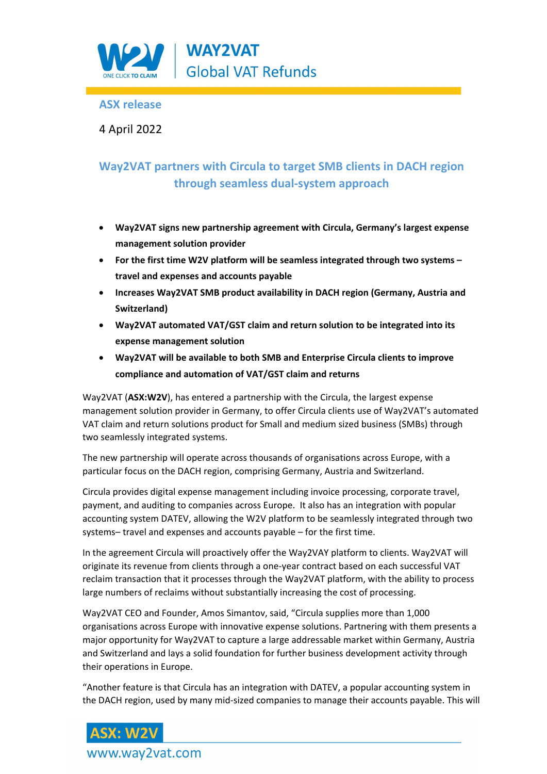

## **ASX release**

4 April 2022

# **Way2VAT partners with Circula to target SMB clients in DACH region through seamless dual-system approach**

- **Way2VAT signs new partnership agreement with Circula, Germany's largest expense management solution provider**
- **For the first time W2V platform will be seamless integrated through two systems – travel and expenses and accounts payable**
- **Increases Way2VAT SMB product availability in DACH region (Germany, Austria and Switzerland)**
- **Way2VAT automated VAT/GST claim and return solution to be integrated into its expense management solution**
- **Way2VAT will be available to both SMB and Enterprise Circula clients to improve compliance and automation of VAT/GST claim and returns**

Way2VAT (**ASX:W2V**), has entered a partnership with the Circula, the largest expense management solution provider in Germany, to offer Circula clients use of Way2VAT's automated VAT claim and return solutions product for Small and medium sized business (SMBs) through two seamlessly integrated systems.

The new partnership will operate across thousands of organisations across Europe, with a particular focus on the DACH region, comprising Germany, Austria and Switzerland.

Circula provides digital expense management including invoice processing, corporate travel, payment, and auditing to companies across Europe. It also has an integration with popular accounting system DATEV, allowing the W2V platform to be seamlessly integrated through two systems– travel and expenses and accounts payable – for the first time.

In the agreement Circula will proactively offer the Way2VAY platform to clients. Way2VAT will originate its revenue from clients through a one-year contract based on each successful VAT reclaim transaction that it processes through the Way2VAT platform, with the ability to process large numbers of reclaims without substantially increasing the cost of processing.

Way2VAT CEO and Founder, Amos Simantov, said, "Circula supplies more than 1,000 organisations across Europe with innovative expense solutions. Partnering with them presents a major opportunity for Way2VAT to capture a large addressable market within Germany, Austria and Switzerland and lays a solid foundation for further business development activity through their operations in Europe.

"Another feature is that Circula has an integration with DATEV, a popular accounting system in the DACH region, used by many mid-sized companies to manage their accounts payable. This will

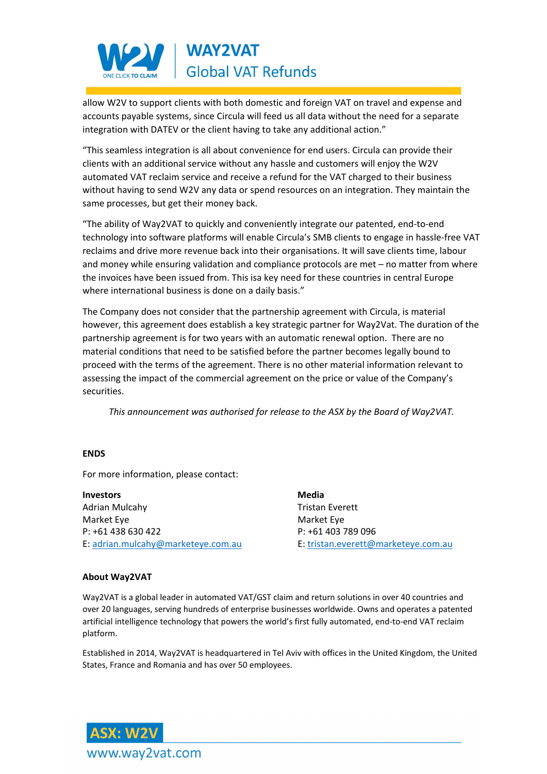

allow W2V to support clients with both domestic and foreign VAT on travel and expense and accounts payable systems, since Circula will feed us all data without the need for a separate integration with DATEV or the client having to take any additional action."

"This seamless integration is all about convenience for end users. Circula can provide their clients with an additional service without any hassle and customers will enjoy the W2V automated VAT reclaim service and receive a refund for the VAT charged to their business without having to send W2V any data or spend resources on an integration. They maintain the same processes, but get their money back.

"The ability of Way2VAT to quickly and conveniently integrate our patented, end-to-end technology into software platforms will enable Circula's SMB clients to engage in hassle-free VAT reclaims and drive more revenue back into their organisations. It will save clients time, labour and money while ensuring validation and compliance protocols are met – no matter from where the invoices have been issued from. This isa key need for these countries in central Europe where international business is done on a daily basis."

The Company does not consider that the partnership agreement with Circula, is material however, this agreement does establish a key strategic partner for Way2Vat. The duration of the partnership agreement is for two years with an automatic renewal option. There are no material conditions that need to be satisfied before the partner becomes legally bound to proceed with the terms of the agreement. There is no other material information relevant to assessing the impact of the commercial agreement on the price or value of the Company's securities.

*This announcement was authorised for release to the ASX by the Board of Way2VAT.*

#### **ENDS**

For more information, please contact:

**Investors** Media Adrian Mulcahy **Tristan Everett** Market Eye Market Eye P: +61 438 630 422 P: +61 403 789 096 E[: adrian.mulcahy@marketeye.com.au](mailto:adrian.mulcahy@marketeye.com.au) E: [tristan.everett@marketeye.com.au](mailto:tristan.everett@marketeye.com.au) 

#### **About Way2VAT**

Way2VAT is a global leader in automated VAT/GST claim and return solutions in over 40 countries and over 20 languages, serving hundreds of enterprise businesses worldwide. Owns and operates a patented artificial intelligence technology that powers the world's first fully automated, end-to-end VAT reclaim platform.

Established in 2014, Way2VAT is headquartered in Tel Aviv with offices in the United Kingdom, the United States, France and Romania and has over 50 employees.